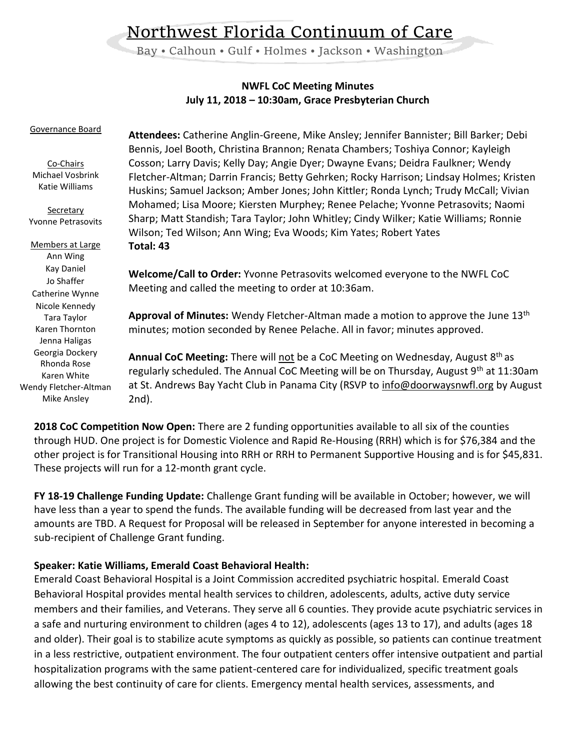# Northwest Florida Continuum of Care

Bay • Calhoun • Gulf • Holmes • Jackson • Washington

## **NWFL CoC Meeting Minutes July 11, 2018 – 10:30am, Grace Presbyterian Church**

| Attendees: Catherine Anglin-Greene, Mike Ansley; Jennifer Bannister; Bill Barker; Debi<br>Bennis, Joel Booth, Christina Brannon; Renata Chambers; Toshiya Connor; Kayleigh<br>Cosson; Larry Davis; Kelly Day; Angie Dyer; Dwayne Evans; Deidra Faulkner; Wendy<br>Fletcher-Altman; Darrin Francis; Betty Gehrken; Rocky Harrison; Lindsay Holmes; Kristen<br>Huskins; Samuel Jackson; Amber Jones; John Kittler; Ronda Lynch; Trudy McCall; Vivian<br>Mohamed; Lisa Moore; Kiersten Murphey; Renee Pelache; Yvonne Petrasovits; Naomi |
|---------------------------------------------------------------------------------------------------------------------------------------------------------------------------------------------------------------------------------------------------------------------------------------------------------------------------------------------------------------------------------------------------------------------------------------------------------------------------------------------------------------------------------------|
| Sharp; Matt Standish; Tara Taylor; John Whitley; Cindy Wilker; Katie Williams; Ronnie<br>Wilson; Ted Wilson; Ann Wing; Eva Woods; Kim Yates; Robert Yates                                                                                                                                                                                                                                                                                                                                                                             |
| Total: 43                                                                                                                                                                                                                                                                                                                                                                                                                                                                                                                             |
| Welcome/Call to Order: Yvonne Petrasovits welcomed everyone to the NWFL CoC<br>Meeting and called the meeting to order at 10:36am.                                                                                                                                                                                                                                                                                                                                                                                                    |
| Approval of Minutes: Wendy Fletcher-Altman made a motion to approve the June 13 <sup>th</sup><br>minutes; motion seconded by Renee Pelache. All in favor; minutes approved.                                                                                                                                                                                                                                                                                                                                                           |
| <b>Annual CoC Meeting:</b> There will not be a CoC Meeting on Wednesday, August 8 <sup>th</sup> as<br>regularly scheduled. The Annual CoC Meeting will be on Thursday, August $9th$ at 11:30am<br>at St. Andrews Bay Yacht Club in Panama City (RSVP to info@doorwaysnwfl.org by August<br>2nd).                                                                                                                                                                                                                                      |
|                                                                                                                                                                                                                                                                                                                                                                                                                                                                                                                                       |

**2018 CoC Competition Now Open:** There are 2 funding opportunities available to all six of the counties through HUD. One project is for Domestic Violence and Rapid Re-Housing (RRH) which is for \$76,384 and the other project is for Transitional Housing into RRH or RRH to Permanent Supportive Housing and is for \$45,831. These projects will run for a 12-month grant cycle.

**FY 18-19 Challenge Funding Update:** Challenge Grant funding will be available in October; however, we will have less than a year to spend the funds. The available funding will be decreased from last year and the amounts are TBD. A Request for Proposal will be released in September for anyone interested in becoming a sub-recipient of Challenge Grant funding.

### **Speaker: Katie Williams, Emerald Coast Behavioral Health:**

Emerald Coast Behavioral Hospital is a Joint Commission accredited psychiatric hospital. Emerald Coast Behavioral Hospital provides mental health services to children, adolescents, adults, active duty service members and their families, and Veterans. They serve all 6 counties. They provide acute psychiatric services in a safe and nurturing environment to children (ages 4 to 12), adolescents (ages 13 to 17), and adults (ages 18 and older). Their goal is to stabilize acute symptoms as quickly as possible, so patients can continue treatment in a less restrictive, outpatient environment. The four outpatient centers offer intensive outpatient and partial hospitalization programs with the same patient-centered care for individualized, specific treatment goals allowing the best continuity of care for clients. Emergency mental health services, assessments, and